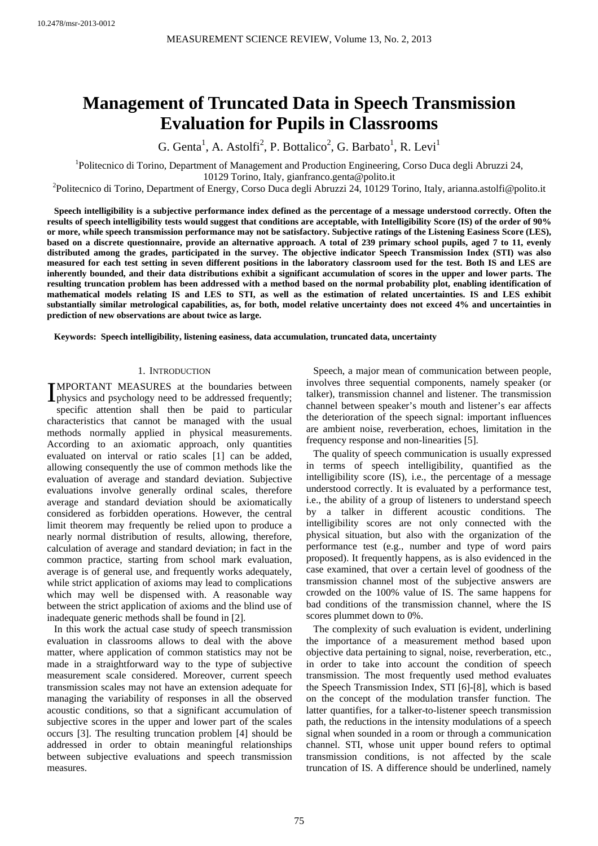# **Management of Truncated Data in Speech Transmission Evaluation for Pupils in Classrooms**

G. Genta<sup>1</sup>, A. Astolfi<sup>2</sup>, P. Bottalico<sup>2</sup>, G. Barbato<sup>1</sup>, R. Levi<sup>1</sup>

<sup>1</sup>Politecnico di Torino, Department of Management and Production Engineering, Corso Duca degli Abruzzi 24, 10129 Torino, Italy, gianfranco.genta@polito.it 2

Politecnico di Torino, Department of Energy, Corso Duca degli Abruzzi 24, 10129 Torino, Italy, arianna.astolfi@polito.it

**Speech intelligibility is a subjective performance index defined as the percentage of a message understood correctly. Often the results of speech intelligibility tests would suggest that conditions are acceptable, with Intelligibility Score (IS) of the order of 90% or more, while speech transmission performance may not be satisfactory. Subjective ratings of the Listening Easiness Score (LES), based on a discrete questionnaire, provide an alternative approach. A total of 239 primary school pupils, aged 7 to 11, evenly distributed among the grades, participated in the survey. The objective indicator Speech Transmission Index (STI) was also measured for each test setting in seven different positions in the laboratory classroom used for the test. Both IS and LES are inherently bounded, and their data distributions exhibit a significant accumulation of scores in the upper and lower parts. The resulting truncation problem has been addressed with a method based on the normal probability plot, enabling identification of mathematical models relating IS and LES to STI, as well as the estimation of related uncertainties. IS and LES exhibit substantially similar metrological capabilities, as, for both, model relative uncertainty does not exceed 4% and uncertainties in prediction of new observations are about twice as large.** 

**Keywords: Speech intelligibility, listening easiness, data accumulation, truncated data, uncertainty** 

## 1. INTRODUCTION

MPORTANT MEASURES at the boundaries between IMPORTANT MEASURES at the boundaries between<br>physics and psychology need to be addressed frequently; specific attention shall then be paid to particular characteristics that cannot be managed with the usual methods normally applied in physical measurements. According to an axiomatic approach, only quantities evaluated on interval or ratio scales [1] can be added, allowing consequently the use of common methods like the evaluation of average and standard deviation. Subjective evaluations involve generally ordinal scales, therefore average and standard deviation should be axiomatically considered as forbidden operations. However, the central limit theorem may frequently be relied upon to produce a nearly normal distribution of results, allowing, therefore, calculation of average and standard deviation; in fact in the common practice, starting from school mark evaluation, average is of general use, and frequently works adequately, while strict application of axioms may lead to complications which may well be dispensed with. A reasonable way between the strict application of axioms and the blind use of inadequate generic methods shall be found in [2].

In this work the actual case study of speech transmission evaluation in classrooms allows to deal with the above matter, where application of common statistics may not be made in a straightforward way to the type of subjective measurement scale considered. Moreover, current speech transmission scales may not have an extension adequate for managing the variability of responses in all the observed acoustic conditions, so that a significant accumulation of subjective scores in the upper and lower part of the scales occurs [3]. The resulting truncation problem [4] should be addressed in order to obtain meaningful relationships between subjective evaluations and speech transmission measures.

Speech, a major mean of communication between people, involves three sequential components, namely speaker (or talker), transmission channel and listener. The transmission channel between speaker's mouth and listener's ear affects the deterioration of the speech signal: important influences are ambient noise, reverberation, echoes, limitation in the frequency response and non-linearities [5].

The quality of speech communication is usually expressed in terms of speech intelligibility, quantified as the intelligibility score (IS), i.e., the percentage of a message understood correctly. It is evaluated by a performance test, i.e., the ability of a group of listeners to understand speech by a talker in different acoustic conditions. The intelligibility scores are not only connected with the physical situation, but also with the organization of the performance test (e.g., number and type of word pairs proposed). It frequently happens, as is also evidenced in the case examined, that over a certain level of goodness of the transmission channel most of the subjective answers are crowded on the 100% value of IS. The same happens for bad conditions of the transmission channel, where the IS scores plummet down to 0%.

The complexity of such evaluation is evident, underlining the importance of a measurement method based upon objective data pertaining to signal, noise, reverberation, etc., in order to take into account the condition of speech transmission. The most frequently used method evaluates the Speech Transmission Index, STI [6]-[8], which is based on the concept of the modulation transfer function. The latter quantifies, for a talker-to-listener speech transmission path, the reductions in the intensity modulations of a speech signal when sounded in a room or through a communication channel. STI, whose unit upper bound refers to optimal transmission conditions, is not affected by the scale truncation of IS. A difference should be underlined, namely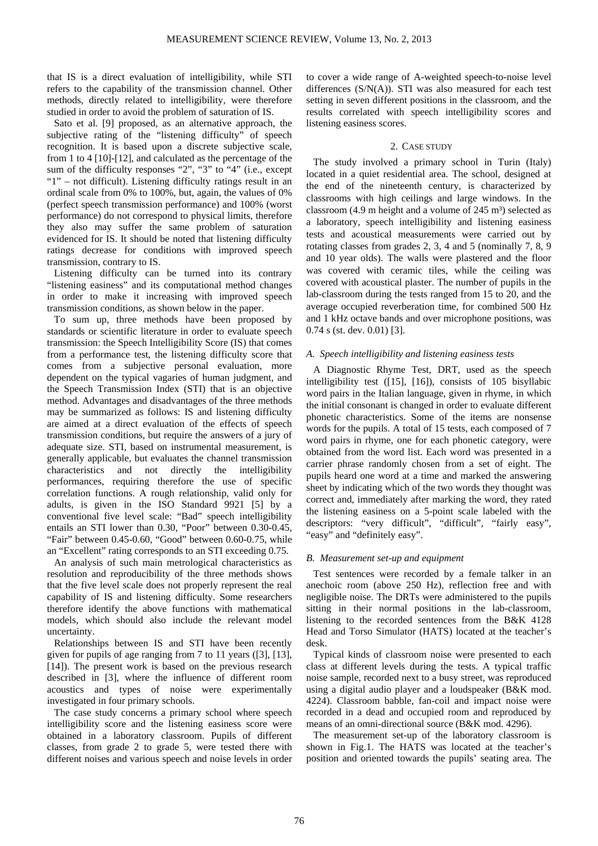that IS is a direct evaluation of intelligibility, while STI refers to the capability of the transmission channel. Other methods, directly related to intelligibility, were therefore studied in order to avoid the problem of saturation of IS.

Sato et al. [9] proposed, as an alternative approach, the subjective rating of the "listening difficulty" of speech recognition. It is based upon a discrete subjective scale, from 1 to 4 [10]-[12], and calculated as the percentage of the sum of the difficulty responses "2", "3" to "4" (i.e., except "1" – not difficult). Listening difficulty ratings result in an ordinal scale from 0% to 100%, but, again, the values of 0% (perfect speech transmission performance) and 100% (worst performance) do not correspond to physical limits, therefore they also may suffer the same problem of saturation evidenced for IS. It should be noted that listening difficulty ratings decrease for conditions with improved speech transmission, contrary to IS.

Listening difficulty can be turned into its contrary "listening easiness" and its computational method changes in order to make it increasing with improved speech transmission conditions, as shown below in the paper.

To sum up, three methods have been proposed by standards or scientific literature in order to evaluate speech transmission: the Speech Intelligibility Score (IS) that comes from a performance test, the listening difficulty score that comes from a subjective personal evaluation, more dependent on the typical vagaries of human judgment, and the Speech Transmission Index (STI) that is an objective method. Advantages and disadvantages of the three methods may be summarized as follows: IS and listening difficulty are aimed at a direct evaluation of the effects of speech transmission conditions, but require the answers of a jury of adequate size. STI, based on instrumental measurement, is generally applicable, but evaluates the channel transmission characteristics and not directly the intelligibility performances, requiring therefore the use of specific correlation functions. A rough relationship, valid only for adults, is given in the ISO Standard 9921 [5] by a conventional five level scale: "Bad" speech intelligibility entails an STI lower than 0.30, "Poor" between 0.30-0.45, "Fair" between 0.45-0.60, "Good" between 0.60-0.75, while an "Excellent" rating corresponds to an STI exceeding 0.75.

An analysis of such main metrological characteristics as resolution and reproducibility of the three methods shows that the five level scale does not properly represent the real capability of IS and listening difficulty. Some researchers therefore identify the above functions with mathematical models, which should also include the relevant model uncertainty.

Relationships between IS and STI have been recently given for pupils of age ranging from 7 to 11 years ([3], [13], [14]). The present work is based on the previous research described in [3], where the influence of different room acoustics and types of noise were experimentally investigated in four primary schools.

The case study concerns a primary school where speech intelligibility score and the listening easiness score were obtained in a laboratory classroom. Pupils of different classes, from grade 2 to grade 5, were tested there with different noises and various speech and noise levels in order

to cover a wide range of A-weighted speech-to-noise level differences  $(S/N(A))$ . STI was also measured for each test setting in seven different positions in the classroom, and the results correlated with speech intelligibility scores and listening easiness scores.

## 2. CASE STUDY

The study involved a primary school in Turin (Italy) located in a quiet residential area. The school, designed at the end of the nineteenth century, is characterized by classrooms with high ceilings and large windows. In the classroom (4.9 m height and a volume of  $245 \text{ m}^3$ ) selected as a laboratory, speech intelligibility and listening easiness tests and acoustical measurements were carried out by rotating classes from grades 2, 3, 4 and 5 (nominally 7, 8, 9 and 10 year olds). The walls were plastered and the floor was covered with ceramic tiles, while the ceiling was covered with acoustical plaster. The number of pupils in the lab-classroom during the tests ranged from 15 to 20, and the average occupied reverberation time, for combined 500 Hz and 1 kHz octave bands and over microphone positions, was 0.74 s (st. dev. 0.01) [3].

## *A. Speech intelligibility and listening easiness tests*

A Diagnostic Rhyme Test, DRT, used as the speech intelligibility test ([15], [16]), consists of 105 bisyllabic word pairs in the Italian language, given in rhyme, in which the initial consonant is changed in order to evaluate different phonetic characteristics. Some of the items are nonsense words for the pupils. A total of 15 tests, each composed of 7 word pairs in rhyme, one for each phonetic category, were obtained from the word list. Each word was presented in a carrier phrase randomly chosen from a set of eight. The pupils heard one word at a time and marked the answering sheet by indicating which of the two words they thought was correct and, immediately after marking the word, they rated the listening easiness on a 5-point scale labeled with the descriptors: "very difficult", "difficult", "fairly easy", "easy" and "definitely easy".

## *B. Measurement set-up and equipment*

Test sentences were recorded by a female talker in an anechoic room (above 250 Hz), reflection free and with negligible noise. The DRTs were administered to the pupils sitting in their normal positions in the lab-classroom, listening to the recorded sentences from the B&K 4128 Head and Torso Simulator (HATS) located at the teacher's desk.

Typical kinds of classroom noise were presented to each class at different levels during the tests. A typical traffic noise sample, recorded next to a busy street, was reproduced using a digital audio player and a loudspeaker (B&K mod. 4224). Classroom babble, fan-coil and impact noise were recorded in a dead and occupied room and reproduced by means of an omni-directional source (B&K mod. 4296).

The measurement set-up of the laboratory classroom is shown in Fig.1. The HATS was located at the teacher's position and oriented towards the pupils' seating area. The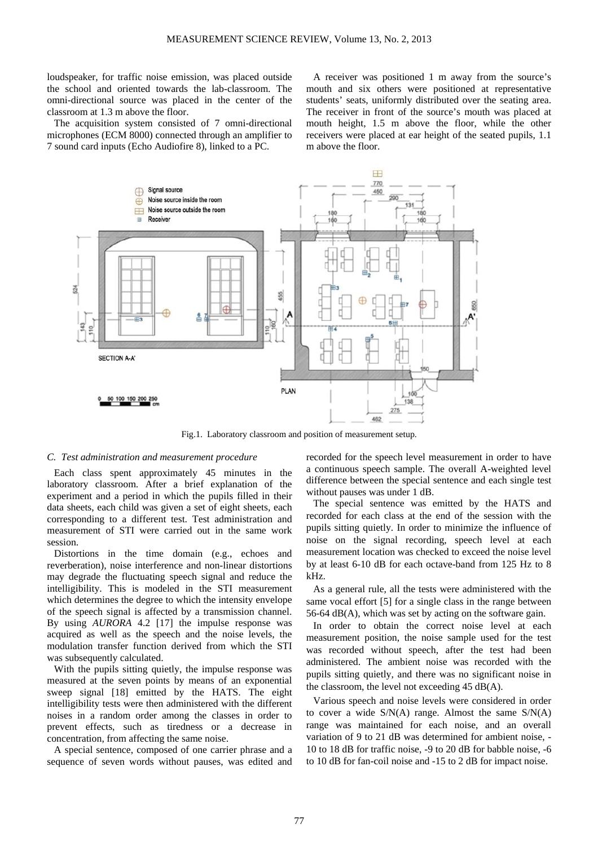loudspeaker, for traffic noise emission, was placed outside the school and oriented towards the lab-classroom. The omni-directional source was placed in the center of the classroom at 1.3 m above the floor.

The acquisition system consisted of 7 omni-directional microphones (ECM 8000) connected through an amplifier to 7 sound card inputs (Echo Audiofire 8), linked to a PC.

A receiver was positioned 1 m away from the source's mouth and six others were positioned at representative students' seats, uniformly distributed over the seating area. The receiver in front of the source's mouth was placed at mouth height, 1.5 m above the floor, while the other receivers were placed at ear height of the seated pupils, 1.1 m above the floor.



Fig.1. Laboratory classroom and position of measurement setup.

## *C. Test administration and measurement procedure*

Each class spent approximately 45 minutes in the laboratory classroom. After a brief explanation of the experiment and a period in which the pupils filled in their data sheets, each child was given a set of eight sheets, each corresponding to a different test. Test administration and measurement of STI were carried out in the same work session.

Distortions in the time domain (e.g., echoes and reverberation), noise interference and non-linear distortions may degrade the fluctuating speech signal and reduce the intelligibility. This is modeled in the STI measurement which determines the degree to which the intensity envelope of the speech signal is affected by a transmission channel. By using *AURORA* 4.2 [17] the impulse response was acquired as well as the speech and the noise levels, the modulation transfer function derived from which the STI was subsequently calculated.

With the pupils sitting quietly, the impulse response was measured at the seven points by means of an exponential sweep signal [18] emitted by the HATS. The eight intelligibility tests were then administered with the different noises in a random order among the classes in order to prevent effects, such as tiredness or a decrease in concentration, from affecting the same noise.

A special sentence, composed of one carrier phrase and a sequence of seven words without pauses, was edited and recorded for the speech level measurement in order to have a continuous speech sample. The overall A-weighted level difference between the special sentence and each single test without pauses was under 1 dB.

The special sentence was emitted by the HATS and recorded for each class at the end of the session with the pupils sitting quietly. In order to minimize the influence of noise on the signal recording, speech level at each measurement location was checked to exceed the noise level by at least 6-10 dB for each octave-band from 125 Hz to 8 kHz.

As a general rule, all the tests were administered with the same vocal effort [5] for a single class in the range between 56-64 dB(A), which was set by acting on the software gain.

In order to obtain the correct noise level at each measurement position, the noise sample used for the test was recorded without speech, after the test had been administered. The ambient noise was recorded with the pupils sitting quietly, and there was no significant noise in the classroom, the level not exceeding 45 dB(A).

Various speech and noise levels were considered in order to cover a wide  $S/N(A)$  range. Almost the same  $S/N(A)$ range was maintained for each noise, and an overall variation of 9 to 21 dB was determined for ambient noise, - 10 to 18 dB for traffic noise, -9 to 20 dB for babble noise, -6 to 10 dB for fan-coil noise and -15 to 2 dB for impact noise.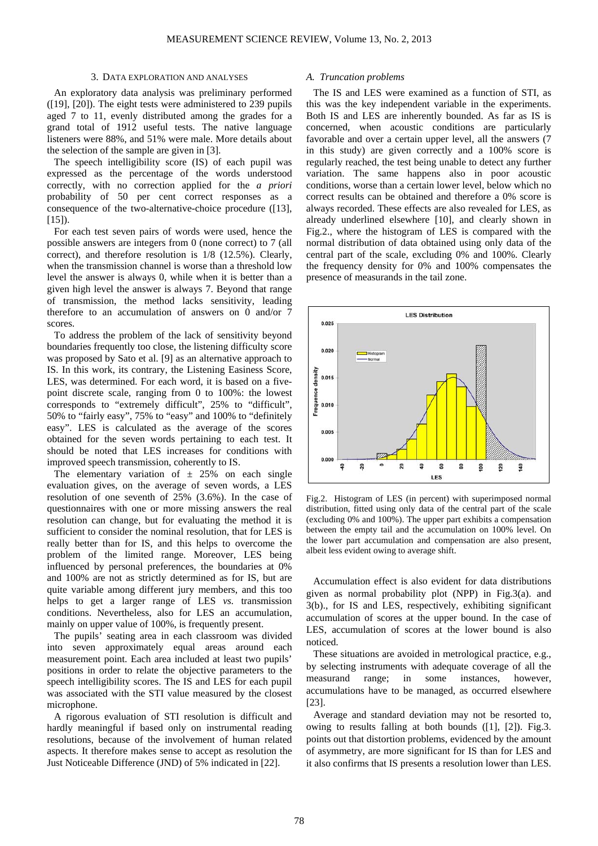#### 3. DATA EXPLORATION AND ANALYSES

An exploratory data analysis was preliminary performed ([19], [20]). The eight tests were administered to 239 pupils aged 7 to 11, evenly distributed among the grades for a grand total of 1912 useful tests. The native language listeners were 88%, and 51% were male. More details about the selection of the sample are given in [3].

The speech intelligibility score (IS) of each pupil was expressed as the percentage of the words understood correctly, with no correction applied for the *a priori* probability of 50 per cent correct responses as a consequence of the two-alternative-choice procedure ([13],  $[15]$ .

For each test seven pairs of words were used, hence the possible answers are integers from 0 (none correct) to 7 (all correct), and therefore resolution is 1/8 (12.5%). Clearly, when the transmission channel is worse than a threshold low level the answer is always 0, while when it is better than a given high level the answer is always 7. Beyond that range of transmission, the method lacks sensitivity, leading therefore to an accumulation of answers on 0 and/or 7 scores.

To address the problem of the lack of sensitivity beyond boundaries frequently too close, the listening difficulty score was proposed by Sato et al. [9] as an alternative approach to IS. In this work, its contrary, the Listening Easiness Score, LES, was determined. For each word, it is based on a fivepoint discrete scale, ranging from 0 to 100%: the lowest corresponds to "extremely difficult", 25% to "difficult", 50% to "fairly easy", 75% to "easy" and 100% to "definitely easy". LES is calculated as the average of the scores obtained for the seven words pertaining to each test. It should be noted that LES increases for conditions with improved speech transmission, coherently to IS.

The elementary variation of  $\pm$  25% on each single evaluation gives, on the average of seven words, a LES resolution of one seventh of 25% (3.6%). In the case of questionnaires with one or more missing answers the real resolution can change, but for evaluating the method it is sufficient to consider the nominal resolution, that for LES is really better than for IS, and this helps to overcome the problem of the limited range. Moreover, LES being influenced by personal preferences, the boundaries at 0% and 100% are not as strictly determined as for IS, but are quite variable among different jury members, and this too helps to get a larger range of LES *vs.* transmission conditions. Nevertheless, also for LES an accumulation, mainly on upper value of 100%, is frequently present.

The pupils' seating area in each classroom was divided into seven approximately equal areas around each measurement point. Each area included at least two pupils' positions in order to relate the objective parameters to the speech intelligibility scores. The IS and LES for each pupil was associated with the STI value measured by the closest microphone.

A rigorous evaluation of STI resolution is difficult and hardly meaningful if based only on instrumental reading resolutions, because of the involvement of human related aspects. It therefore makes sense to accept as resolution the Just Noticeable Difference (JND) of 5% indicated in [22].

#### *A. Truncation problems*

The IS and LES were examined as a function of STI, as this was the key independent variable in the experiments. Both IS and LES are inherently bounded. As far as IS is concerned, when acoustic conditions are particularly favorable and over a certain upper level, all the answers (7 in this study) are given correctly and a 100% score is regularly reached, the test being unable to detect any further variation. The same happens also in poor acoustic conditions, worse than a certain lower level, below which no correct results can be obtained and therefore a 0% score is always recorded. These effects are also revealed for LES, as already underlined elsewhere [10], and clearly shown in Fig.2., where the histogram of LES is compared with the normal distribution of data obtained using only data of the central part of the scale, excluding 0% and 100%. Clearly the frequency density for 0% and 100% compensates the presence of measurands in the tail zone.



Fig.2. Histogram of LES (in percent) with superimposed normal distribution, fitted using only data of the central part of the scale (excluding 0% and 100%). The upper part exhibits a compensation between the empty tail and the accumulation on 100% level. On the lower part accumulation and compensation are also present, albeit less evident owing to average shift.

Accumulation effect is also evident for data distributions given as normal probability plot (NPP) in Fig.3(a). and 3(b)., for IS and LES, respectively, exhibiting significant accumulation of scores at the upper bound. In the case of LES, accumulation of scores at the lower bound is also noticed.

These situations are avoided in metrological practice, e.g., by selecting instruments with adequate coverage of all the measurand range; in some instances, however, accumulations have to be managed, as occurred elsewhere [23].

Average and standard deviation may not be resorted to, owing to results falling at both bounds ([1], [2]). Fig.3. points out that distortion problems, evidenced by the amount of asymmetry, are more significant for IS than for LES and it also confirms that IS presents a resolution lower than LES.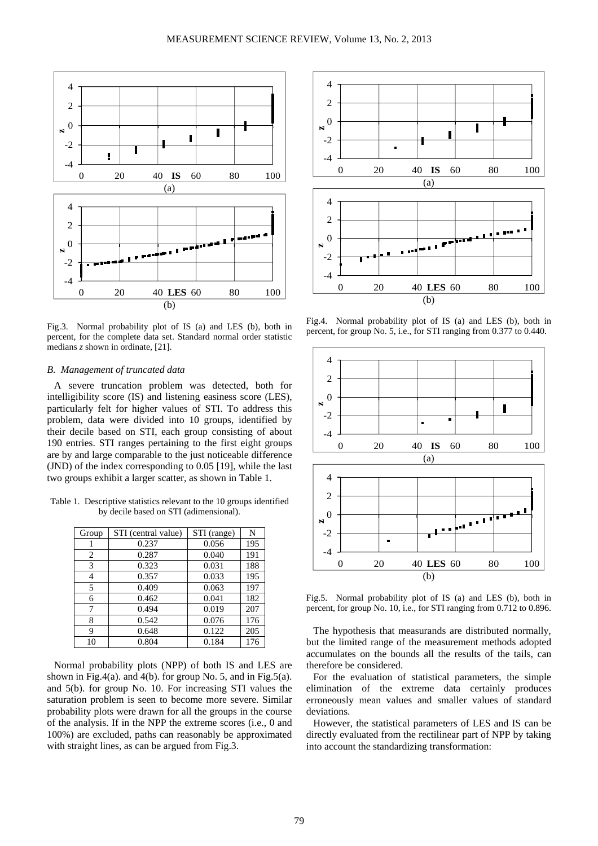

Fig.3. Normal probability plot of IS (a) and LES (b), both in percent, for the complete data set. Standard normal order statistic medians *z* shown in ordinate, [21].

## *B. Management of truncated data*

A severe truncation problem was detected, both for intelligibility score (IS) and listening easiness score (LES), particularly felt for higher values of STI. To address this problem, data were divided into 10 groups, identified by their decile based on STI, each group consisting of about 190 entries. STI ranges pertaining to the first eight groups are by and large comparable to the just noticeable difference (JND) of the index corresponding to 0.05 [19], while the last two groups exhibit a larger scatter, as shown in Table 1.

Table 1. Descriptive statistics relevant to the 10 groups identified by decile based on STI (adimensional).

| Group          | STI (central value) | STI (range) | N   |
|----------------|---------------------|-------------|-----|
|                | 0.237               | 0.056       | 195 |
| $\overline{c}$ | 0.287               | 0.040       | 191 |
| 3              | 0.323               | 0.031       | 188 |
| 4              | 0.357               | 0.033       | 195 |
| 5              | 0.409               | 0.063       | 197 |
| 6              | 0.462               | 0.041       | 182 |
| 7              | 0.494               | 0.019       | 207 |
| 8              | 0.542               | 0.076       | 176 |
| 9              | 0.648               | 0.122       | 205 |
| 10             | 0.804               | 0.184       | 176 |

Normal probability plots (NPP) of both IS and LES are shown in Fig.4(a). and 4(b). for group No. 5, and in Fig.5(a). and 5(b). for group No. 10. For increasing STI values the saturation problem is seen to become more severe. Similar probability plots were drawn for all the groups in the course of the analysis. If in the NPP the extreme scores (i.e., 0 and 100%) are excluded, paths can reasonably be approximated with straight lines, as can be argued from Fig.3.



Fig.4. Normal probability plot of IS (a) and LES (b), both in percent, for group No. 5, i.e., for STI ranging from 0.377 to 0.440.



Fig.5. Normal probability plot of IS (a) and LES (b), both in percent, for group No. 10, i.e., for STI ranging from 0.712 to 0.896.

The hypothesis that measurands are distributed normally, but the limited range of the measurement methods adopted accumulates on the bounds all the results of the tails, can therefore be considered.

For the evaluation of statistical parameters, the simple elimination of the extreme data certainly produces erroneously mean values and smaller values of standard deviations.

However, the statistical parameters of LES and IS can be directly evaluated from the rectilinear part of NPP by taking into account the standardizing transformation: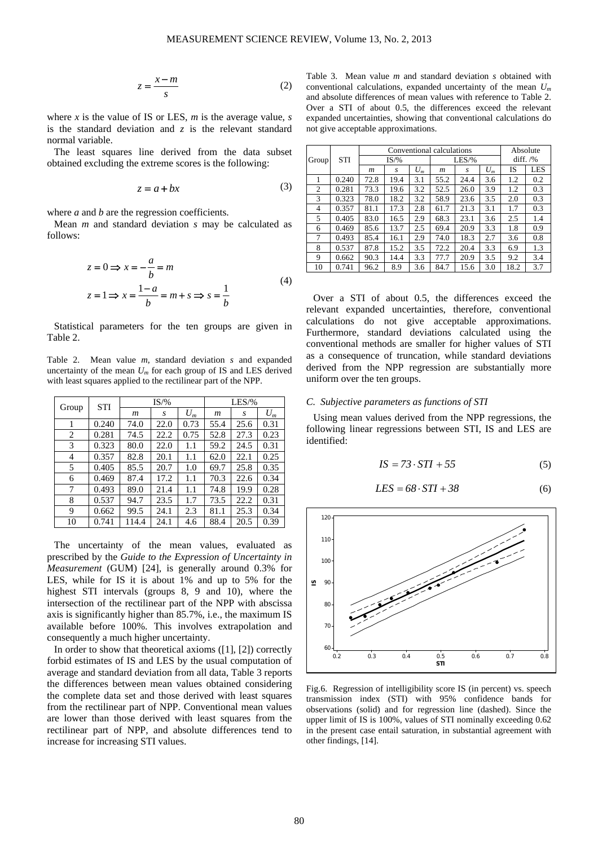$$
z = \frac{x - m}{s} \tag{2}
$$

where  $x$  is the value of IS or LES,  $m$  is the average value,  $s$ is the standard deviation and *z* is the relevant standard normal variable.

The least squares line derived from the data subset obtained excluding the extreme scores is the following:

$$
z = a + bx \tag{3}
$$

where *a* and *b* are the regression coefficients.

Mean *m* and standard deviation *s* may be calculated as follows:

$$
z = 0 \Rightarrow x = -\frac{a}{b} = m
$$
  
\n
$$
z = 1 \Rightarrow x = \frac{1-a}{b} = m + s \Rightarrow s = \frac{1}{b}
$$
 (4)

Statistical parameters for the ten groups are given in Table 2.

Table 2. Mean value *m*, standard deviation *s* and expanded uncertainty of the mean  $U_m$  for each group of IS and LES derived with least squares applied to the rectilinear part of the NPP.

| Group | STI   | $IS/\%$        |      |       | $LES/$ % |      |       |  |
|-------|-------|----------------|------|-------|----------|------|-------|--|
|       |       | $\mathfrak{m}$ | S    | $U_m$ | m        | S    | $U_m$ |  |
| 1     | 0.240 | 74.0           | 22.0 | 0.73  | 55.4     | 25.6 | 0.31  |  |
| 2     | 0.281 | 74.5           | 22.2 | 0.75  | 52.8     | 27.3 | 0.23  |  |
| 3     | 0.323 | 80.0           | 22.0 | 1.1   | 59.2     | 24.5 | 0.31  |  |
| 4     | 0.357 | 82.8           | 20.1 | 1.1   | 62.0     | 22.1 | 0.25  |  |
| 5     | 0.405 | 85.5           | 20.7 | 1.0   | 69.7     | 25.8 | 0.35  |  |
| 6     | 0.469 | 87.4           | 17.2 | 1.1   | 70.3     | 22.6 | 0.34  |  |
| 7     | 0.493 | 89.0           | 21.4 | 1.1   | 74.8     | 19.9 | 0.28  |  |
| 8     | 0.537 | 94.7           | 23.5 | 1.7   | 73.5     | 22.2 | 0.31  |  |
| 9     | 0.662 | 99.5           | 24.1 | 2.3   | 81.1     | 25.3 | 0.34  |  |
| 10    | 0.741 | 114.4          | 24.1 | 4.6   | 88.4     | 20.5 | 0.39  |  |

The uncertainty of the mean values, evaluated as prescribed by the *Guide to the Expression of Uncertainty in Measurement* (GUM) [24], is generally around 0.3% for LES, while for IS it is about 1% and up to 5% for the highest STI intervals (groups 8, 9 and 10), where the intersection of the rectilinear part of the NPP with abscissa axis is significantly higher than 85.7%, i.e., the maximum IS available before 100%. This involves extrapolation and consequently a much higher uncertainty.

In order to show that theoretical axioms  $([1], [2])$  correctly forbid estimates of IS and LES by the usual computation of average and standard deviation from all data, Table 3 reports the differences between mean values obtained considering the complete data set and those derived with least squares from the rectilinear part of NPP. Conventional mean values are lower than those derived with least squares from the rectilinear part of NPP, and absolute differences tend to increase for increasing STI values.

Table 3. Mean value *m* and standard deviation *s* obtained with conventional calculations, expanded uncertainty of the mean *Um* and absolute differences of mean values with reference to Table 2. Over a STI of about 0.5, the differences exceed the relevant expanded uncertainties, showing that conventional calculations do not give acceptable approximations.

|                     |       | Conventional calculations |                  |          |      |      | Absolute    |      |            |
|---------------------|-------|---------------------------|------------------|----------|------|------|-------------|------|------------|
| <b>STI</b><br>Group |       | $IS/\%$                   |                  | $LES/$ % |      |      | diff. $/$ % |      |            |
|                     |       | m                         | $\boldsymbol{S}$ | $U_m$    | m    | S    | $U_m$       | IS   | <b>LES</b> |
|                     | 0.240 | 72.8                      | 19.4             | 3.1      | 55.2 | 24.4 | 3.6         | 1.2  | 0.2        |
| $\overline{c}$      | 0.281 | 73.3                      | 19.6             | 3.2      | 52.5 | 26.0 | 3.9         | 1.2  | 0.3        |
| 3                   | 0.323 | 78.0                      | 18.2             | 3.2      | 58.9 | 23.6 | 3.5         | 2.0  | 0.3        |
| 4                   | 0.357 | 81.1                      | 17.3             | 2.8      | 61.7 | 21.3 | 3.1         | 1.7  | 0.3        |
| 5                   | 0.405 | 83.0                      | 16.5             | 2.9      | 68.3 | 23.1 | 3.6         | 2.5  | 1.4        |
| 6                   | 0.469 | 85.6                      | 13.7             | 2.5      | 69.4 | 20.9 | 3.3         | 1.8  | 0.9        |
| 7                   | 0.493 | 85.4                      | 16.1             | 2.9      | 74.0 | 18.3 | 2.7         | 3.6  | 0.8        |
| 8                   | 0.537 | 87.8                      | 15.2             | 3.5      | 72.2 | 20.4 | 3.3         | 6.9  | 1.3        |
| 9                   | 0.662 | 90.3                      | 14.4             | 3.3      | 77.7 | 20.9 | 3.5         | 9.2  | 3.4        |
| 10                  | 0.741 | 96.2                      | 8.9              | 3.6      | 84.7 | 15.6 | 3.0         | 18.2 | 3.7        |

Over a STI of about 0.5, the differences exceed the relevant expanded uncertainties, therefore, conventional calculations do not give acceptable approximations. Furthermore, standard deviations calculated using the conventional methods are smaller for higher values of STI as a consequence of truncation, while standard deviations derived from the NPP regression are substantially more uniform over the ten groups.

## *C. Subjective parameters as functions of STI*

Using mean values derived from the NPP regressions, the following linear regressions between STI, IS and LES are identified:

$$
IS = 73 \cdot STI + 55 \tag{5}
$$

$$
LES = 68 \cdot STI + 38 \tag{6}
$$



Fig.6. Regression of intelligibility score IS (in percent) vs. speech transmission index (STI) with 95% confidence bands for observations (solid) and for regression line (dashed). Since the upper limit of IS is 100%, values of STI nominally exceeding 0.62 in the present case entail saturation, in substantial agreement with other findings, [14].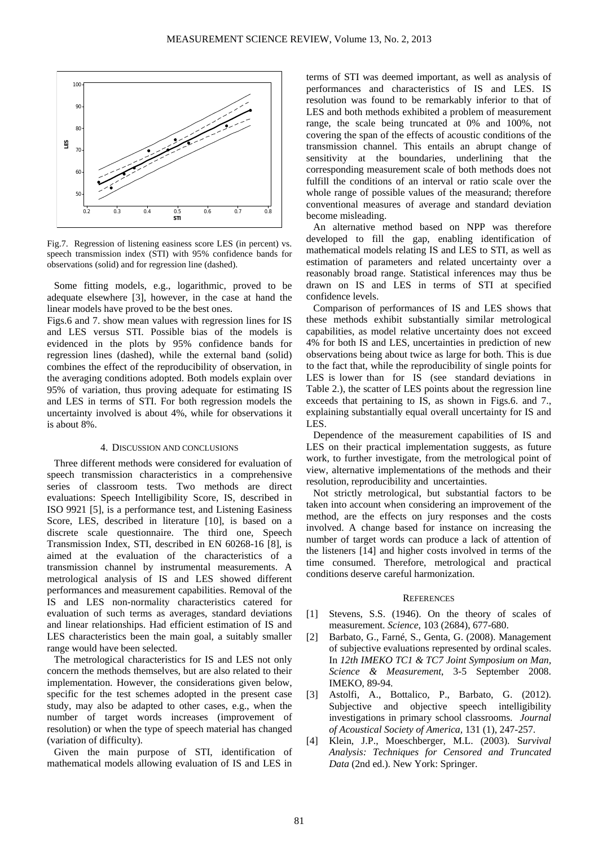

Fig.7. Regression of listening easiness score LES (in percent) vs. speech transmission index (STI) with 95% confidence bands for observations (solid) and for regression line (dashed).

Some fitting models, e.g., logarithmic, proved to be adequate elsewhere [3], however, in the case at hand the linear models have proved to be the best ones.

Figs.6 and 7. show mean values with regression lines for IS and LES versus STI. Possible bias of the models is evidenced in the plots by 95% confidence bands for regression lines (dashed), while the external band (solid) combines the effect of the reproducibility of observation, in the averaging conditions adopted. Both models explain over 95% of variation, thus proving adequate for estimating IS and LES in terms of STI. For both regression models the uncertainty involved is about 4%, while for observations it is about 8%.

### 4. DISCUSSION AND CONCLUSIONS

Three different methods were considered for evaluation of speech transmission characteristics in a comprehensive series of classroom tests. Two methods are direct evaluations: Speech Intelligibility Score, IS, described in ISO 9921 [5], is a performance test, and Listening Easiness Score, LES, described in literature [10], is based on a discrete scale questionnaire. The third one, Speech Transmission Index, STI, described in EN 60268-16 [8], is aimed at the evaluation of the characteristics of a transmission channel by instrumental measurements. A metrological analysis of IS and LES showed different performances and measurement capabilities. Removal of the IS and LES non-normality characteristics catered for evaluation of such terms as averages, standard deviations and linear relationships. Had efficient estimation of IS and LES characteristics been the main goal, a suitably smaller range would have been selected.

The metrological characteristics for IS and LES not only concern the methods themselves, but are also related to their implementation. However, the considerations given below, specific for the test schemes adopted in the present case study, may also be adapted to other cases, e.g., when the number of target words increases (improvement of resolution) or when the type of speech material has changed (variation of difficulty).

Given the main purpose of STI, identification of mathematical models allowing evaluation of IS and LES in

terms of STI was deemed important, as well as analysis of performances and characteristics of IS and LES. IS resolution was found to be remarkably inferior to that of LES and both methods exhibited a problem of measurement range, the scale being truncated at 0% and 100%, not covering the span of the effects of acoustic conditions of the transmission channel. This entails an abrupt change of sensitivity at the boundaries, underlining that the corresponding measurement scale of both methods does not fulfill the conditions of an interval or ratio scale over the whole range of possible values of the measurand; therefore conventional measures of average and standard deviation become misleading.

An alternative method based on NPP was therefore developed to fill the gap, enabling identification of mathematical models relating IS and LES to STI, as well as estimation of parameters and related uncertainty over a reasonably broad range. Statistical inferences may thus be drawn on IS and LES in terms of STI at specified confidence levels.

Comparison of performances of IS and LES shows that these methods exhibit substantially similar metrological capabilities, as model relative uncertainty does not exceed 4% for both IS and LES, uncertainties in prediction of new observations being about twice as large for both. This is due to the fact that, while the reproducibility of single points for LES is lower than for IS (see standard deviations in Table 2.), the scatter of LES points about the regression line exceeds that pertaining to IS, as shown in Figs.6. and 7., explaining substantially equal overall uncertainty for IS and LES.

Dependence of the measurement capabilities of IS and LES on their practical implementation suggests, as future work, to further investigate, from the metrological point of view, alternative implementations of the methods and their resolution, reproducibility and uncertainties.

Not strictly metrological, but substantial factors to be taken into account when considering an improvement of the method, are the effects on jury responses and the costs involved. A change based for instance on increasing the number of target words can produce a lack of attention of the listeners [14] and higher costs involved in terms of the time consumed. Therefore, metrological and practical conditions deserve careful harmonization.

#### **REFERENCES**

- [1] Stevens, S.S. (1946). On the theory of scales of measurement. *Science*, 103 (2684), 677-680.
- [2] Barbato, G., Farné, S., Genta, G. (2008). Management of subjective evaluations represented by ordinal scales. In *12th IMEKO TC1 & TC7 Joint Symposium on Man, Science & Measurement*, 3-5 September 2008. IMEKO, 89-94.
- [3] Astolfi, A., Bottalico, P., Barbato, G. (2012). Subjective and objective speech intelligibility investigations in primary school classrooms. *Journal of Acoustical Society of America,* 131 (1), 247-257.
- [4] Klein, J.P., Moeschberger, M.L. (2003). S*urvival Analysis: Techniques for Censored and Truncated Data* (2nd ed.). New York: Springer.